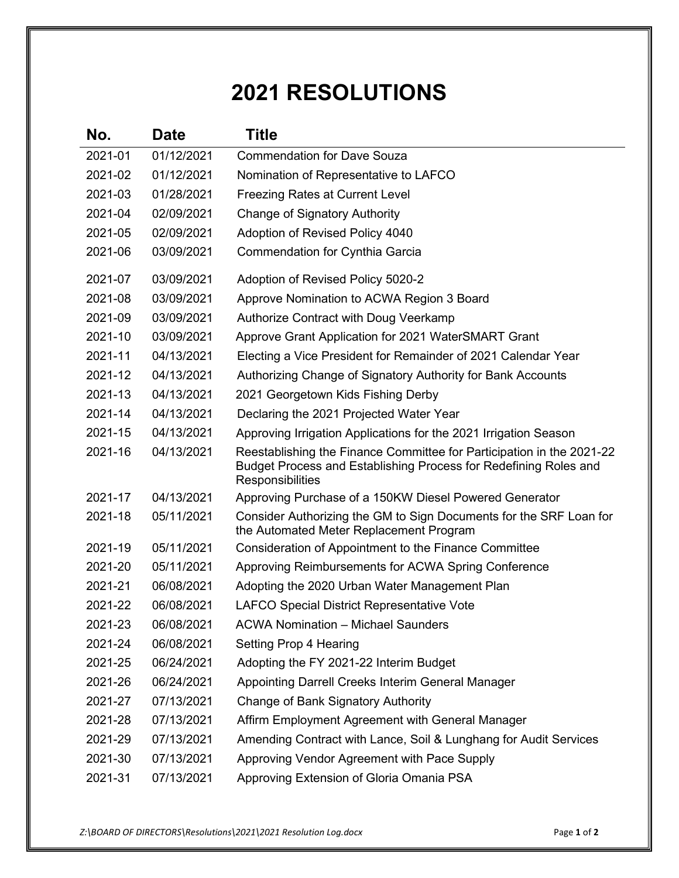## **2021 RESOLUTIONS**

| No.     | <b>Date</b> | Title                                                                                                                                                         |
|---------|-------------|---------------------------------------------------------------------------------------------------------------------------------------------------------------|
| 2021-01 | 01/12/2021  | <b>Commendation for Dave Souza</b>                                                                                                                            |
| 2021-02 | 01/12/2021  | Nomination of Representative to LAFCO                                                                                                                         |
| 2021-03 | 01/28/2021  | Freezing Rates at Current Level                                                                                                                               |
| 2021-04 | 02/09/2021  | <b>Change of Signatory Authority</b>                                                                                                                          |
| 2021-05 | 02/09/2021  | Adoption of Revised Policy 4040                                                                                                                               |
| 2021-06 | 03/09/2021  | Commendation for Cynthia Garcia                                                                                                                               |
| 2021-07 | 03/09/2021  | Adoption of Revised Policy 5020-2                                                                                                                             |
| 2021-08 | 03/09/2021  | Approve Nomination to ACWA Region 3 Board                                                                                                                     |
| 2021-09 | 03/09/2021  | <b>Authorize Contract with Doug Veerkamp</b>                                                                                                                  |
| 2021-10 | 03/09/2021  | Approve Grant Application for 2021 WaterSMART Grant                                                                                                           |
| 2021-11 | 04/13/2021  | Electing a Vice President for Remainder of 2021 Calendar Year                                                                                                 |
| 2021-12 | 04/13/2021  | Authorizing Change of Signatory Authority for Bank Accounts                                                                                                   |
| 2021-13 | 04/13/2021  | 2021 Georgetown Kids Fishing Derby                                                                                                                            |
| 2021-14 | 04/13/2021  | Declaring the 2021 Projected Water Year                                                                                                                       |
| 2021-15 | 04/13/2021  | Approving Irrigation Applications for the 2021 Irrigation Season                                                                                              |
| 2021-16 | 04/13/2021  | Reestablishing the Finance Committee for Participation in the 2021-22<br>Budget Process and Establishing Process for Redefining Roles and<br>Responsibilities |
| 2021-17 | 04/13/2021  | Approving Purchase of a 150KW Diesel Powered Generator                                                                                                        |
| 2021-18 | 05/11/2021  | Consider Authorizing the GM to Sign Documents for the SRF Loan for<br>the Automated Meter Replacement Program                                                 |
| 2021-19 | 05/11/2021  | Consideration of Appointment to the Finance Committee                                                                                                         |
| 2021-20 | 05/11/2021  | Approving Reimbursements for ACWA Spring Conference                                                                                                           |
| 2021-21 | 06/08/2021  | Adopting the 2020 Urban Water Management Plan                                                                                                                 |
| 2021-22 | 06/08/2021  | <b>LAFCO Special District Representative Vote</b>                                                                                                             |
| 2021-23 | 06/08/2021  | <b>ACWA Nomination - Michael Saunders</b>                                                                                                                     |
| 2021-24 | 06/08/2021  | Setting Prop 4 Hearing                                                                                                                                        |
| 2021-25 | 06/24/2021  | Adopting the FY 2021-22 Interim Budget                                                                                                                        |
| 2021-26 | 06/24/2021  | Appointing Darrell Creeks Interim General Manager                                                                                                             |
| 2021-27 | 07/13/2021  | Change of Bank Signatory Authority                                                                                                                            |
| 2021-28 | 07/13/2021  | Affirm Employment Agreement with General Manager                                                                                                              |
| 2021-29 | 07/13/2021  | Amending Contract with Lance, Soil & Lunghang for Audit Services                                                                                              |
| 2021-30 | 07/13/2021  | Approving Vendor Agreement with Pace Supply                                                                                                                   |
| 2021-31 | 07/13/2021  | Approving Extension of Gloria Omania PSA                                                                                                                      |